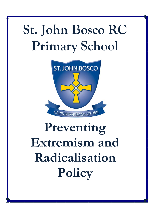# **St. John Bosco RC Primary School**



# **Preventing Extremism and Radicalisation Policy**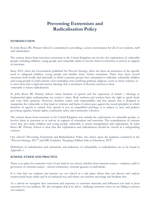# **Preventing Extremism and Radicalisation Policy**

# **INTRODUCTION**

St. John Bosco RC Primary School is committed to providing a secure environment for all of our students, staff and stakeholders.

The current threat from terrorism extremism in the United Kingdom can involve the exploitation of vulnerable people, including children, young people and vulnerable adults to involve them in terrorism or activity in support of terrorism.

Since 2010, when the Government published the Prevent Strategy, there has been an awareness of the specific need to safeguard children, young people and families from violent extremism. There have been several occasions both locally and nationally in which extremist groups have attempted to radicalise vulnerable children and young people to hold extreme views including views justifying political, religious, sexist or racist violence, or to steer them into a rigid and narrow ideology that is intolerant of diversity and leaves them vulnerable to future radicalisation.

St. John Bosco RC Primary School values freedom of speech and the expression of beliefs / ideology as fundamental rights underpinning our society's values. Both students and teachers have the right to speak freely and voice their opinions. However, freedom comes with responsibility and free speech that is designed to manipulate the vulnerable or that leads to violence and harm of others goes against the moral principles in which freedom of speech is valued. Free speech is not an unqualified privilege; it is subject to laws and policies governing equality, human rights, community safety and community cohesion.

The current threat from terrorism in the United Kingdom may include the exploitation of vulnerable people, to involve them in terrorism or in activity in support of extremism and terrorism. The normalisation of extreme views may also make children and young people vulnerable to future manipulation and exploitation. St. John Bosco RC Primary School is clear that this exploitation and radicalisation should be viewed as a safeguarding concern.

Our school's Preventing Extremism and Radicalisation Policy also draws upon the guidance contained in the "Prevent Strategy, 2011" and DfE Guidance "Keeping Children Safe in Education, 2015"

Definitions of radicalisation and extremism, and indicators of vulnerability to radicalisation are to be found in Appendix 1.

### **SCHOOL ETHOS AND PRACTICE**

There is no place for extremist views of any kind in our school, whether from internal sources – students, staff or governors, or external sources - school community, external agencies or individuals.

It is vital that our students and parents see our school as a safe place where they can discuss and explore controversial issues safely and in an unbiased way and where our teachers encourage and facilitate this.

As a school we recognise that extremism and exposure to extremist materials and influences can lead to poor outcomes for our students. We also recognise that if we fail to challenge extremist views we are failing to protect our students.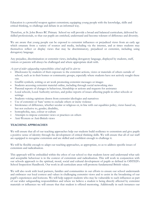Education is a powerful weapon against extremism; equipping young people with the knowledge, skills and critical thinking, to challenge and debate in an informed way.

Therefore, at St. John Bosco RC Primary School we will provide a broad and balanced curriculum, delivered by skilled professionals, so that our pupils are enriched, understand and become tolerant of difference and diversity.

We are aware that young people can be exposed to extremist influences or prejudiced views from an early age which emanate from a variety of sources and media, including via the internet, and at times students may themselves reflect or display views that may be discriminatory, prejudiced or extremist, including using derogatory language.

Any prejudice, discrimination or extremist views, including derogatory language, displayed by students, staff, visitors or parents will always be challenged and where appropriate dealt with.

*As part of wider safeguarding responsibilities school staff will be alert to:* 

- Disclosures by students of their exposure to the extremist actions, views or materials of others outside of school, such as in their homes or community groups, especially where students have not actively sought these out.
- Graffiti symbols, writing or art work promoting extremist messages or images
- Students accessing extremist material online, including through social networking sites
- Parental reports of changes in behaviour, friendship or actions and requests for assistance
- Local schools, Local Authority services, and police reports of issues affecting pupils in other schools or settings
- Students voicing opinions drawn from extremist ideologies and narratives
- Use of extremist or 'hate' terms to exclude others or incite violence
- Intolerance of difference, whether secular or religious or, in line with our equalities policy, views based on, but not exclusive to, gender, disability,
- homophobia, race, colour or culture
- Attempts to impose extremist views or practices on others
- Anti-Western or Anti-British views

#### **TEACHING APPROACHES**

We will ensure that all of our teaching approaches help our students build resilience to extremism and give pupils a positive sense of identity through the development of critical thinking skills. We will ensure that all of our staff are equipped to recognise extremism and are skilled and confident enough to challenge it.

We will be flexible enough to adapt our teaching approaches, as appropriate, so as to address specific issues of extremism and radicalisation.

This approach will be embedded within the ethos of our school so that students know and understand what safe and acceptable behaviour is in the context of extremism and radicalisation. This will work in conjunction with our schools approach to the spiritual, moral, social and cultural development of pupils as defined in OfSTED's School Inspection Handbook. Our work in all curriculum areas will promote fundamental British values.

We will also work with local partners, families and communities in our efforts to ensure our school understands and embraces our local context and values in challenging extremist views and to assist in the broadening of our pupil's experiences and horizons. We will help support students who may be vulnerable to such influences as part of our wider safeguarding responsibilities and where we believe a student is being directly affected by extremist materials or influences we will ensure that that student is offered mentoring. Additionally in such instances our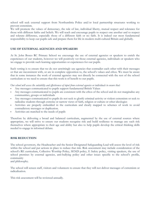school will seek external support from Northumbria Police and/or local partnership structures working to prevent extremism.

We will promote the values of democracy, the rule of law, individual liberty, mutual respect and tolerance for those with different faiths and beliefs. We will teach and encourage pupils to respect one another and to respect and tolerate difference, especially those of a different faith or no faith. It is indeed our most fundamental responsibility to keep our pupils safe and prepare them for life in modern multi-cultural Britain and globally.

### **USE OF EXTERNAL AGENCIES AND SPEAKERS**

At St. John Bosco RC Primary School we encourage the use of external agencies or speakers to enrich the experiences of our students, however we will positively vet those external agencies, individuals or speakers who we engage to provide such learning opportunities or experiences for our pupils.

Such vetting is to ensure that we do not unwittingly use agencies that contradict each other with their messages or that are inconsistent with, or are in complete opposition to, the school's values and ethos. We must be aware that in some instances the work of external agencies may not directly be connected with the rest of the school curriculum so we need to ensure that this work is of benefit to our pupils.

*Our school will assess the suitability and effectiveness of input from external agencies or individuals to ensure that:* 

- Any messages communicated to pupils support fundamental British Values
- Any messages communicated to pupils are consistent with the ethos of the school and do not marginalise any communities, groups or individuals
- Any messages communicated to pupils do not seek to glorify criminal activity or violent extremism or seek to radicalise students through extreme or narrow views of faith, religion or culture or other ideologies
- Activities are properly embedded in the curriculum and clearly mapped to schemes of work to avoid contradictory messages or duplication.
- Activities are matched to the needs of pupils

Therefore by delivering a broad and balanced curriculum, augmented by the use of external sources where appropriate, we will strive to ensure our students recognise risk and build resilience to manage any such risk themselves where appropriate to their age and ability but also to help pupils develop the critical thinking skills needed to engage in informed debate.

#### **RISK REDUCTION**

The school governors, the Headteacher and the Senior Designated Safeguarding Lead will assess the level of risk within the school and put actions in place to reduce that risk. Risk assessment may include consideration of the school's RE curriculum, Collective Worship Policy, SEND policy, E Safety policy, visiting speakers, the use of school premises by external agencies, anti-bullying policy and other issues specific to the school's profile, community

and philosophy.

The school will screen staff, visitors and volunteers to ensure that they will not deliver messages of extremism or radicalisation.

This risk assessment will be reviewed annually.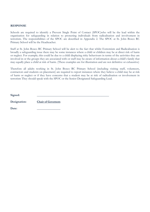#### **RESPONSE**

Schools are required to identify a Prevent Single Point of Contact (SPOC)who will be the lead within the organisation for safeguarding in relation to protecting individuals from radicalisation and involvement in terrorism. The responsibilities of the SPOC are described in Appendix 2. The SPOC at St. John Bosco RC Primary School will be the Headteacher.

Staff at St. John Bosco RC Primary School will be alert to the fact that whilst Extremism and Radicalisation is broadly a safeguarding issue there may be some instances where a child or children may be at direct risk of harm or neglect. For example; this could be due to a child displaying risky behaviours in terms of the activities they are involved in or the groups they are associated with or staff may be aware of information about a child's family that may equally place a child at risk of harm. (These examples are for illustration and are not definitive or exhaustive)

Therefore all adults working in St. John Bosco RC Primary School (including visiting staff, volunteers, contractors and students on placement) are required to report instances where they believe a child may be at risk of harm or neglect or if they have concerns that a student may be at risk of radicalisation or involvement in terrorism They should speak with the SPOC or the Senior Designated Safeguarding Lead.

| Signed:      |                           |
|--------------|---------------------------|
| Designation: | <b>Chair of Governors</b> |
| Date:        |                           |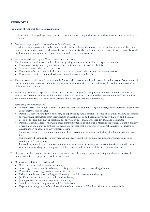# **APPENDIX 1**

#### **Indicators of vulnerability to radicalisation**

- 1. Radicalisation refers to the process by which a person comes to support terrorism and forms of extremism leading to terrorism.
- 2. *Extremism is defined by the Government in the Prevent Strategy as:*  Vocal or active opposition to fundamental British values, including democracy, the rule of law, individual liberty and mutual respect and tolerance of different faiths and beliefs. We also include in our definition of extremism calls for the death of members of our armed forces, whether in this country or overseas.
- 3. Extremism is defined by the Crown Prosecution Service as:
	- The demonstration of unacceptable behaviour by using any means or medium to express views which:
	- Encourage, justify or glorify terrorist violence in furtherance of particular beliefs;
	- Seek to provoke others to terrorist acts;
	- Encourage other serious criminal activity or seek to provoke others to serious criminal acts; or
	- Foster hatred which might lead to inter-community violence in the UK.
- 4. There is no such thing as a "typical extremist": those who become involved in extremist actions come from a range of backgrounds and experiences, and most individuals, even those who hold radical views, do not become involved in violent extremist activity.
- 5. Pupils may become susceptible to radicalisation through a range of social, personal and environmental factors it is known that violent extremists exploit vulnerabilities in individuals to drive a wedge between them and their families and communities. It is vital that school staff are able to recognise those vulnerabilities.

#### 6. *Indicators of vulnerability include:*

- Identity Crisis the student / pupil is distanced from their cultural / religious heritage and experiences discomfort about their place in society;
- Personal Crisis the student / pupil may be experiencing family tensions; a sense of isolation; and low self-esteem; they may have dissociated from their existing friendship group and become involved with a new and different group of friends; they may be searching for answers to questions about identity, faith and belonging;
- Personal Circumstances migration; local community tensions; and events affecting the student / pupil's country or region of origin may contribute to a sense of grievance that is triggered by personal experience of racism or discrimination or aspects of Government policy;
- Unmet Aspirations the student / pupil may have perceptions of injustice; a feeling of failure; rejection of civic life;
- Experiences of Criminality which may include involvement with criminal groups, imprisonment, and poor resettlement / reintegration;
- Special Educational Need students / pupils may experience difficulties with social interaction, empathy with others, understanding the consequences of their actions and awareness of the motivations of others.
- 7. However, this list is not exhaustive, nor does it mean that all young people experiencing the above are at risk of radicalisation for the purposes of violent extremism.
- 8. More critical risk factors could include:
	- Being in contact with extremist recruiters;
	- Accessing violent extremist websites, especially those with a social networking element;
	- Possessing or accessing violent extremist literature;
	- Using extremist narratives and a global ideology to explain personal disadvantage;
	- Justifying the use of violence to solve societal issues;
	- Joining or seeking to join extremist organisations; and
	- Significant changes to appearance and / or behaviour;
	- Experiencing a high level of social isolation resulting in issues of identity crisis and / or personal crisis.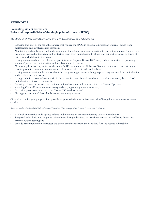# **APPENDIX 2**

#### **Preventing violent extremism - Roles and responsibilities of the single point of contact (SPOC)**

*The SPOC for St. John Bosco RC Primary School is the Headteacher, who is responsible for:* 

- Ensuring that staff of the school are aware that you are the SPOC in relation to protecting students/pupils from radicalisation and involvement in terrorism;
- Maintaining and applying a good understanding of the relevant guidance in relation to preventing students/pupils from becoming involved in terrorism, and protecting them from radicalisation by those who support terrorism or forms of extremism which lead to terrorism;
- Raising awareness about the role and responsibilities of St. John Bosco RC Primary School in relation to protecting students/pupils from radicalisation and involvement in terrorism;
- Monitoring the effect in practice of the school's RE curriculum and Collective Worship policy to ensure that they are used to promote community cohesion and tolerance of different faiths and beliefs;
- Raising awareness within the school about the safeguarding processes relating to protecting students from radicalisation and involvement in terrorism;
- Acting as the first point of contact within the school for case discussions relating to students who may be at risk of radicalisation or involved in terrorism;
- Collating relevant information in relation to referrals of vulnerable students into the Channel\* process;
- attending Channel\* meetings as necessary and carrying out any actions as agreed;
- Reporting progress on actions to the Channel\* Co-ordinator; and
- Sharing any relevant additional information in a timely manner.

Channel is a multi-agency approach to provide support to individuals who are at risk of being drawn into terrorist related activity.

#### *It is led by the Northumbria Police Counter-Terrorism Unit through their "prevent" team and it aims to:*

- Establish an effective multi-agency referral and intervention process to identify vulnerable individuals;
- Safeguard individuals who might be vulnerable to being radicalised, so that they are not at risk of being drawn into terrorist-related activity; and
- Provide early intervention to protect and divert people away from the risks they face and reduce vulnerability.